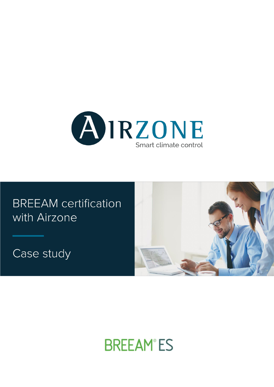

# **BREEAM** certification with Airzone

Case study



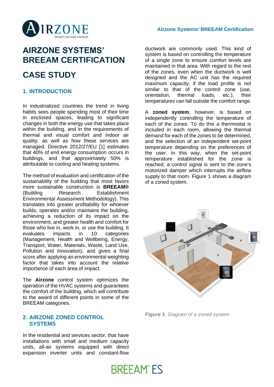#### **Airzone Systems' BREEAM Certification**



### **AIRZONE SYSTEMS' BREEAM CERTIFICATION**

### **CASE STUDY**

### **1. INTRODUCTION**

In industrialized countries the trend in living habits sees people spending most of their time in enclosed spaces, leading to significant changes in both the energy use that takes place within the building, and in the requirements of thermal and visual comfort and indoor air quality, as well as how these services are managed. Directive 2012/27/EU [1] estimates that 40% of end energy consumption occurs in buildings, and that approximately 50% is attributable to cooling and heating systems.

The method of evaluation and certification of the sustainability of the building that most favors more sustainable construction is **BREEAM®** (Building Research Establishment Environmental Assessment Methodology). This translates into greater profitability for whoever builds, operates and/or maintains the building, achieving a reduction of its impact on the environment, and greater health and comfort for those who live in, work in, or use the building. It evaluates impacts in 10 categories (Management, Health and Wellbeing, Energy, Transport, Water, Materials, Waste, Land Use, Pollution and Innovation), and gives a final score after applying an environmental weighting factor that takes into account the relative importance of each area of impact.

The **Airzone** control system optimizes the operation of the HVAC systems and guarantees the comfort of the building, which will contribute to the award of different points in some of the BREEAM categories.

#### **2. AIRZONE ZONED CONTROL SYSTEMS**

In the residential and services sector, that have installations with small and medium capacity units, all-air systems equipped with direct expansion inverter units and constant-flow ductwork are commonly used. This kind of system is based on controlling the temperature of a single zone to ensure comfort levels are maintained in that area. With regard to the rest of the zones, even when the ductwork is well designed and the AC unit has the required maximum capacity, if the load profile is not similar to that of the control zone (use, orientation, thermal loads, etc.), their temperatures can fall outside the comfort range.

A **zoned system**, however, is based on independently controlling the temperature of each of the zones. To do this a thermostat is included in each room, allowing the thermal demand for each of the zones to be determined, and the selection of an independent set-point temperature depending on the preferences of the user. In this way, when the set-point temperature established for the zone is reached, a control signal is sent to the zone's motorized damper which interrupts the airflow supply to that room. Figure 1 shows a diagram of a zoned system.



*Figure 1. Diagram of a zoned system*

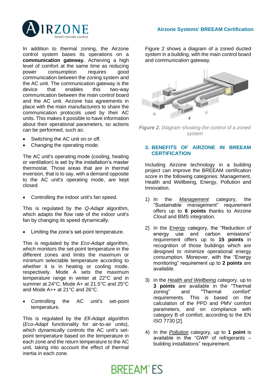

In addition to thermal zoning, the Airzone control system bases its operations on a **communication gateway.** Achieving a high level of comfort at the same time as reducing power consumption requires good communication between the zoning system and the AC unit. The communication gateway is the device that enables this two-way communication between the main control board and the AC unit. Airzone has agreements in place with the main manufacturers to share the communication protocols used by their AC units. This makes it possible to have information about their operational parameters, so actions can be performed, such as:

- Switching the AC unit on or off.
- Changing the operating mode.

The AC unit's operating mode (cooling, heating or ventilation) is set by the installation's master thermostat. Those areas that are in thermal inversion, that is to say, with a demand opposite to the AC unit's operating mode, are kept closed.

• Controlling the indoor unit's fan speed.

This is regulated by the *Q-Adapt* algorithm, which adapts the flow rate of the indoor unit's fan by changing its speed dynamically.

• Limiting the zone's set-point temperature.

This is regulated by the *Eco-Adapt* algorithm, which monitors the set-point temperature in the different zones and limits the maximum or minimum selectable temperature according to whether it is in heating or cooling mode, respectively. Mode A sets the maximum temperature range in winter at 22°C and in summer at 24°C, Mode A+ at 21.5°C and 25°C and Mode A++ at 21°C and 26°C.

Controlling the AC unit's set-point temperature.

This is regulated by the *Efi-Adapt* algorithm (*Eco-Adapt* functionality for air-to-air units), which dynamically controls the AC unit's setpoint temperature based on the temperature in each zone and the return temperature to the AC unit, taking into account the effect of thermal inertia in each zone.

Figure 2 shows a diagram of a zoned ducted system in a building, with the main control board and communication gateway.



*Figure 2. Diagram showing the control of a zoned system*

#### **3. BENEFITS OF AIRZONE IN BREEAM CERTIFICATION**

Including Airzone technology in a building project can improve the BREEAM certification score in the following categories: Management, Health and Wellbeing, Energy, Pollution and Innovation.

- 1) In the *Management* category, the "Sustainable management" requirement offers up to **6 points** thanks to Airzone Cloud and BMS integration.
- 2) In the *Energy* category, the "Reduction of energy use and carbon emissions" requirement offers up to **15 points** in recognition of those buildings which are designed to minimize operational energy consumption. Moreover, with the "Energy monitoring" requirement up to **2 points** are available.
- 3) In the *Health and Wellbeing* category, up to **3 points** are available in the "Thermal zoning" and "Thermal comfort" requirements. This is based on the calculation of the PPD and PMV comfort parameters, and on compliance with category B of comfort, according to the EN ISO 7730 [2].
- 4) In the *Pollution* category, up to **1 point** is available in the "GWP of refrigerants – building installations" requirement.

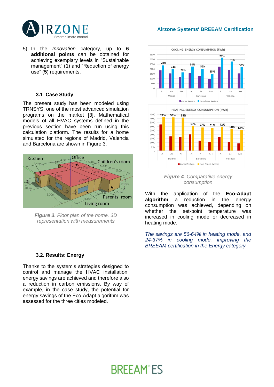



5) In the *Innovation* category, up to **6 additional points** can be obtained for achieving exemplary levels in "Sustainable management" (**1**) and "Reduction of energy use" (**5**) requirements.

#### **3.1 Case Study**

The present study has been modeled using TRNSYS, one of the most advanced simulation programs on the market [3]. Mathematical models of all HVAC systems defined in the previous section have been run using this calculation platform. The results for a home simulated for the regions of Madrid, Valencia and Barcelona are shown in Figure 3.



*Figure 3. Floor plan of the home. 3D representation with measurements*

#### **3.2. Results: Energy**

Thanks to the system's strategies designed to control and manage the HVAC installation, energy savings are achieved and therefore also a reduction in carbon emissions. By way of example, in the case study, the potential for energy savings of the Eco-Adapt algorithm was assessed for the three cities modeled.



*Figure 4. Comparative energy consumption*

With the application of the **Eco-Adapt algorithm** a reduction in the energy consumption was achieved, depending on whether the set-point temperature was increased in cooling mode or decreased in heating mode.

*The savings are 56-64% in heating mode, and 24-37% in cooling mode, improving the BREEAM certification in the Energy category.*

## **BREEAM®ES**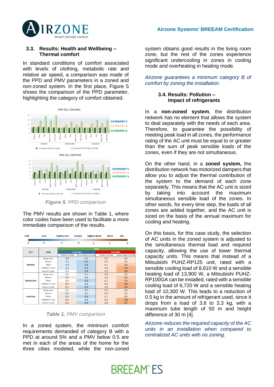

#### **3.3. Results: Health and Wellbeing – Thermal comfort**

In standard conditions of comfort associated with levels of clothing, metabolic rate and relative air speed, a comparison was made of the PPD and PMV parameters in a zoned and non-zoned system. In the first place, Figure 5 shows the comparison of the PPD parameter, highlighting the category of comfort obtained.



*Figure 5. PPD comparison*

The PMV results are shown in Table 1, where color codes have been used to facilitate a more immediate comparison of the results.

| Cold             | Cool            | <b>Slightly Cool</b> | Neutral          | <b>Slightly Warm</b> | Warm                    | Hot              |  |
|------------------|-----------------|----------------------|------------------|----------------------|-------------------------|------------------|--|
| $-3$             | $-2$            | $-1$                 | $\Omega$         | $\overline{1}$       | $\overline{\mathbf{z}}$ | 3                |  |
| <b>CITY</b>      | ZONE            | <b>PMV</b>           |                  |                      |                         |                  |  |
|                  |                 | <b>COOLING</b>       |                  |                      | <b>HEATING</b>          |                  |  |
|                  |                 | <b>ZONED SYSTEM</b>  | NON-ZONED SYSTEM |                      | <b>ZONED SYSTEM</b>     | NON-ZONED SYSTEM |  |
| <b>MADRID</b>    | Living room     | $-0.2$               | $-0.2$           |                      | 0.3                     | 0.2              |  |
|                  | Kitchen         | $-0.1$               | $-0.6$           |                      | 0.5                     | 0.5              |  |
|                  | Office          | $-0.2$               | $-0.8$           |                      | 0.1                     | 0.6              |  |
|                  | Children's room | $-0.1$               | $-0.6$           |                      | 0.4                     | 0.9              |  |
|                  | Parents' room   | 0.0                  | $-0.8$           |                      | 0.3                     | 0.8              |  |
| <b>BARCELONA</b> | Living room     | 0.0                  | $-0.1$           |                      | 0.4                     | 0.3              |  |
|                  | Kitchen         | 0.1                  | $-0.4$           |                      | 0.4                     | 0.6              |  |
|                  | Office          | 0.0                  | $-0.6$           |                      | 0.1                     | 0.6              |  |
|                  | Children's room | 0.1                  | $-0.3$           |                      | 0.4                     | 0.9              |  |
|                  | Parents' room   | 0.1                  | $-0.6$           |                      | 0.4                     | 0.8              |  |
| VALENCIA         | Living room     | 0.0                  | $-0.1$           |                      | 0.3                     | 0.3              |  |
|                  | Kitchen         | 0.1                  | $-0.5$           |                      | 0.4                     | 0.5              |  |
|                  | Office          | $-0.1$               | $-0.6$           |                      | 0.1                     | 0.5              |  |
|                  | Children's room | 0.1                  | $-0.4$           |                      | 0.4                     | 0.8              |  |
|                  | Parents' room   | 0.2                  | $-0.6$           |                      | 0.3                     | 0.7              |  |

*Table 1. PMV comparison*

In a zoned system, the minimum comfort requirements demanded of category B with a PPD at around 5% and a PMV below 0.5 are met in each of the areas of the home for the three cities modeled, while the non-zoned system obtains good results in the living room zone, but the rest of the zones experience significant undercooling in zones in cooling mode and overheating in heating mode.

#### *Airzone guarantees a minimum category B of comfort by zoning the installation.*

#### **3.4. Results: Pollution – Impact of refrigerants**

In a **non-zoned system**, the distribution network has no element that allows the system to deal separately with the needs of each area. Therefore, to guarantee the possibility of meeting peak load in all zones, the performance rating of the AC unit must be equal to or greater than the sum of peak sensible loads of the zones, even if they are not simultaneous.

On the other hand, in a **zoned system,** the distribution network has motorized dampers that allow you to adjust the thermal contribution of the system to the demand of each zone separately. This means that the AC unit is sized by taking into account the maximum simultaneous sensible load of the zones. In other words, for every time step, the loads of all zones are added together, and the AC unit is sized on the basis of the annual maximum for cooling and heating.

On this basis, for this case study, the selection of AC units in the zoned system is adjusted to the simultaneous thermal load and required capacity, allowing the use of lower thermal capacity units. This means that instead of a Mitsubishi PUHZ-RP125 unit, rated with a sensible cooling load of 8,610 W and a sensible heating load of 13,900 W, a Mitsubishi PUHZ-RP100GA can be installed, rated with a sensible cooling load of 6,720 W and a sensible heating load of 10,300 W. This leads to a reduction of 0.5 kg in the amount of refrigerant used, since it drops from a load of 3.8 to 3.3 kg, with a maximum tube length of 50 m and height difference of 30 m [4].

*Airzone reduces the required capacity of the AC units in an installation when compared to centralized AC units with no zoning.*

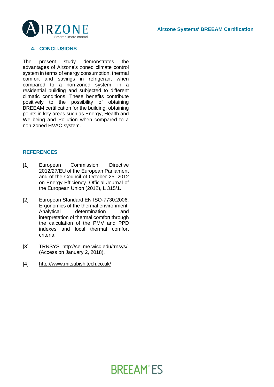

#### **4. CONCLUSIONS**

The present study demonstrates the advantages of Airzone's zoned climate control system in terms of energy consumption, thermal comfort and savings in refrigerant when compared to a non-zoned system, in a residential building and subjected to different climatic conditions. These benefits contribute positively to the possibility of obtaining BREEAM certification for the building, obtaining points in key areas such as Energy, Health and Wellbeing and Pollution when compared to a non-zoned HVAC system.

#### **REFERENCES**

- [1] European Commission. Directive 2012/27/EU of the European Parliament and of the Council of October 25, 2012 on Energy Efficiency. Official Journal of the European Union (2012), L 315/1.
- [2] European Standard EN ISO-7730:2006. Ergonomics of the thermal environment. Analytical determination and interpretation of thermal comfort through the calculation of the PMV and PPD indexes and local thermal comfort criteria.
- [3] TRNSYS [http://sel.me.wisc.edu/trnsys/.](http://sel.me.wisc.edu/trnsys/) (Access on January 2, 2018).
- [4] <http://www.mitsubishitech.co.uk/>

## **BREEAM®ES**